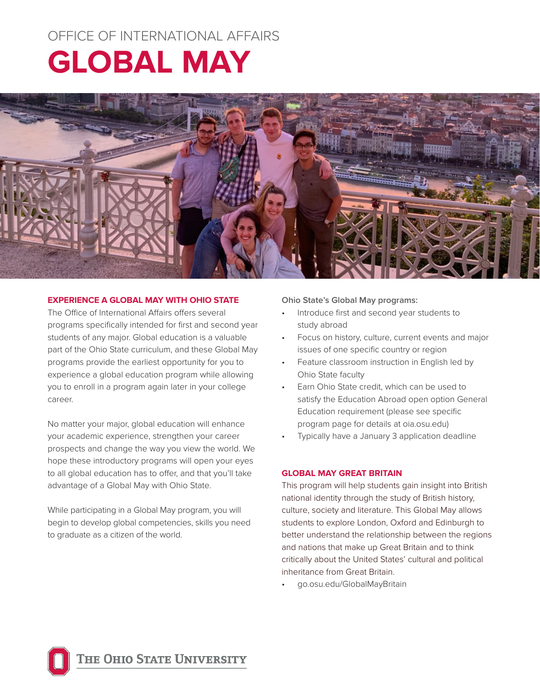# OFFICE OF INTERNATIONAL AFFAIRS

# **GLOBAL MAY**



# **EXPERIENCE A GLOBAL MAY WITH OHIO STATE**

The Office of International Affairs offers several programs specifically intended for first and second year students of any major. Global education is a valuable part of the Ohio State curriculum, and these Global May programs provide the earliest opportunity for you to experience a global education program while allowing you to enroll in a program again later in your college career.

No matter your major, global education will enhance your academic experience, strengthen your career prospects and change the way you view the world. We hope these introductory programs will open your eyes to all global education has to offer, and that you'll take advantage of a Global May with Ohio State.

While participating in a Global May program, you will begin to develop global competencies, skills you need to graduate as a citizen of the world.

## **Ohio State's Global May programs:**

- Introduce first and second year students to study abroad
- Focus on history, culture, current events and major issues of one specific country or region
- Feature classroom instruction in English led by Ohio State faculty
- Earn Ohio State credit, which can be used to satisfy the Education Abroad open option General Education requirement (please see specific program page for details at oia.osu.edu)
- Typically have a January 3 application deadline

### **GLOBAL MAY GREAT BRITAIN**

This program will help students gain insight into British national identity through the study of British history, culture, society and literature. This Global May allows students to explore London, Oxford and Edinburgh to better understand the relationship between the regions and nations that make up Great Britain and to think critically about the United States' cultural and political inheritance from Great Britain.

• go.osu.edu/GlobalMayBritain

THE OHIO STATE UNIVERSITY